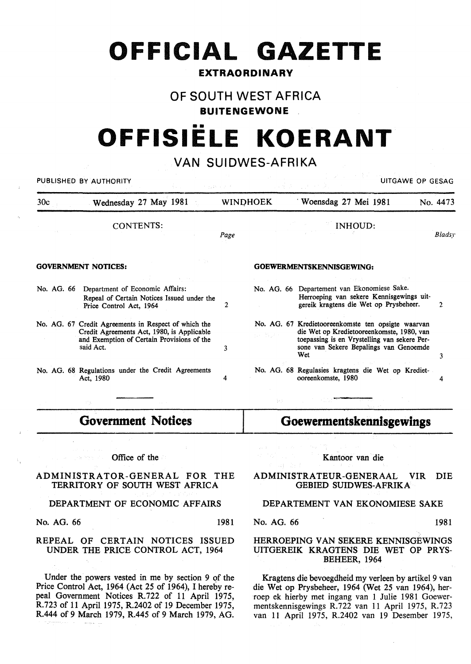# **OFFICIAL GAZETTE**

## **EXTRAORDINARY**

# OF SOUTH WEST AFRICA

**BUITENGEWONE** 

# •• **OFFISIELE KOERANT**

# VAN SUIDWES-AFRIKA

|            | PUBLISHED BY AUTHORITY                                                                                                                                        |      |                 | UITGAWE OP GESAG                                                                                                                                                                                 |          |
|------------|---------------------------------------------------------------------------------------------------------------------------------------------------------------|------|-----------------|--------------------------------------------------------------------------------------------------------------------------------------------------------------------------------------------------|----------|
| 30c        | Wednesday 27 May 1981                                                                                                                                         |      | <b>WINDHOEK</b> | Woensdag 27 Mei 1981                                                                                                                                                                             | No. 4473 |
|            | CONTENTS:                                                                                                                                                     | Page |                 | <b>INHOUD:</b>                                                                                                                                                                                   | Bladsy   |
|            | <b>GOVERNMENT NOTICES:</b>                                                                                                                                    |      |                 | <b>GOEWERMENTSKENNISGEWING:</b>                                                                                                                                                                  |          |
| No. AG. 66 | Department of Economic Affairs:<br>Repeal of Certain Notices Issued under the<br>Price Control Act, 1964                                                      |      |                 | No. AG. 66 Departement van Ekonomiese Sake.<br>Herroeping van sekere Kennisgewings uit-<br>gereik kragtens die Wet op Prysbeheer.                                                                |          |
|            | No. AG. 67 Credit Agreements in Respect of which the<br>Credit Agreements Act, 1980, is Applicable<br>and Exemption of Certain Provisions of the<br>said Act. | 3    | A. P. 25-27     | No. AG. 67 Kredietooreenkomste ten opsigte waarvan<br>die Wet op Kredietooreenkomste, 1980, van<br>toepassing is en Vrystelling van sekere Per-<br>sone van Sekere Bepalings van Genoemde<br>Wet | 3        |
|            | No. AG. 68 Regulations under the Credit Agreements<br>Act, 1980                                                                                               |      |                 | No. AG. 68 Regulasies kragtens die Wet op Krediet-<br>ooreenkomste, 1980                                                                                                                         | 4        |

**Government Notices** 

Office of the

## ADMINISTRATOR-GENERAL FOR THE TERRITORY OF SOUTH WEST AFRICA

## DEPARTMENT OF ECONOMIC AFFAIRS

No. AG. 66 1981

#### REPEAL OF CERTAIN NOTICES ISSUED UNDER THE PRICE CONTROL ACT, 1964

Under the powers vested in me by section 9 of the Price Control Act, 1964 (Act 25 of 1964), I hereby repeal Government Notices R.722 of 11 April 1975, R.723 of 11 April 1975, R.2402 of 19 December 1975, R.444 of 9 March 1979, R.445 of 9 March 1979, AG.

**Goewermentskennlsgewlngs** 

Kantoor van die

#### ADMINISTRATEUR-GENERAAL VIR DIE GEBIED SUIDWES-AFRIKA

## DEPARTEMENT VAN EKONOMIESE SAKE

No. AG. 66 1981

### HERROEPING VAN SEKERE KENNISGEWINGS UITGEREIK KRAGTENS DIE WET OP PRYS-BEHEER, 1964

Kragtens die bevoegdheid my verleen by artikel 9 van die Wet op Prysbeheer, 1964 (Wet 25 van 1964), herroep ek hierby met ingang van 1 Julie 1981 Goewermentskennisgewings R.722 van 11 April 1975, R.723 van 11 April 1975, R.2402 van 19 Desember 1975,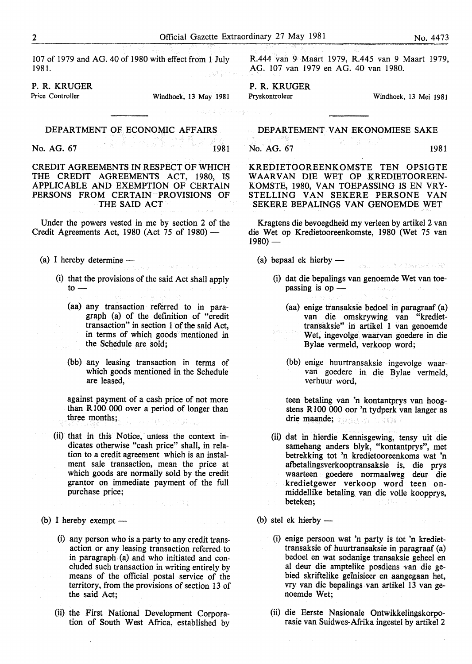107 of 1979 and AG. 40 of 1980 with effect from 1 July 1981.

P. R. KRUGER<br>Price Controller

Windhoek, 13 May 1981

P. R. KRUGER<br>Pryskontroleur

Windhoek, 13 Mei 1981

and a community of the second second

#### DEPARTMENT OF ECONOMIC AFFAIRS DEPARTEMENT VAN EKONOMIESE SAKE

No. AG. 67 1981

CREDIT AGREEMENTS IN RESPECT OF WHICH THE CREDIT AGREEMENTS ACT, 1980, IS APPLICABLE AND EXEMPTION OF CERTAIN PERSONS FROM CERTAIN PROVISIONS OF THE SAID ACT

No. AG. 67 **1981** 

Under the powers vested in me by section 2 of the Credit Agreements Act, 1980 (Act  $75$  of 1980) —

(a) I hereby determine  $-$ 

- (i) that the provisions of the said Act shall apply  $to-$ 
	- (aa) any transaction referred to in paragraph (a) of the defmition of "credit transaction" in section 1 of the said Act, in terms of which goods mentioned in the Schedule are sold;
	- (bb) any leasing transaction in terms of which goods mentioned in the Schedule are leased,

against payment of a cash price of not more than R100 000 over a period of longer than three months;

(ii) that in this Notice, unless the context indicates otherwise "cash price" shall, in relation to a credit agreement which is an instalment sale transaction, mean the price at which goods are normally sold by the credit grantor on immediate payment of the full purchase price;

Committee of Piloters

- (b) I hereby exempt  $-$ 
	- (i) any person who is a party to any credit transaction or any leasing transaction referred to in paragraph (a) and who initiated and concluded such transaction in writing entirely by means of the official postal service of the territory, from the provisions of section 13 of the said Act;
	- (ii) the First National Development Corporation of South West Africa, established by

KREDIETOOREENKOMSTE TEN OPSIGTE W AARVAN DIE WET OP KREDIETOOREEN-KOMSTE, 1980, VAN TOEPASSING IS EN VRY-STELLING VAN SEKERE PERSONE VAN SEKERE BEPALINGS VAN GENOEMDE WET

 $\epsilon_{\rm s} = 3 \epsilon_{\rm m}$ 

R.444 van 9 Maart 1979, R.445 van 9 Maart 1979,

AO. 107 van 1979 en AG. 40 van 1980.

Kragtens die bevoegdheid my verleen by artikel 2 van die Wet op Kredietooreenkomste, 1980 (Wet 75 van  $1980$ ) —

- (a) bepaal ek hierby  $-$ 
	- (i) dat die bepalings van genoemde Wet van toepassing is  $op$  —
		- (aa) enige transaksie bedoel in paragraaf (a) van die omskrywing van "krediettransaksie" in artikel 1 van genoemde Wet, ingevolge waarvan goedere in die Bylae vermeld, verkoop word;
		- (bb) enige huurtransaksie ingevolge waarvan goedere in die Bylae vermeld, verhuur word,

teen betaling van 'n kontantprys van hoogstens RlOO 000 oor 'n tydperk van Ianger as drie maande; www.essammungsin

- (ii) dat in hierdie Kennisgewing, tensy uit die samehang anders blyk, "kontantprys", met betrekking tot 'n kredietooreenkoms wat 'n atbetalingsverkooptransaksie is, die prys waarteen goedere normaalweg deur die kredietgewer verkoop word teen onmiddellike betaling van die voile koopprys, beteken;
- (b) stel ek hierby  $-$ 
	- (i) enige persoon wat 'n party is tot 'n krediettransaksie of huurtransaksie in paragraaf (a) bedoel en wat sodanige transaksie geheel en al deur die amptelike posdiens van die gebied skriftelike geinisieer en aangegaan het, vry van die bepalings van artikel 13 van genoemde Wet;
	- (ii) die Eerste Nasionale Ontwikkelingskorporasie van Suidwes-Afrika ingestel by artikel 2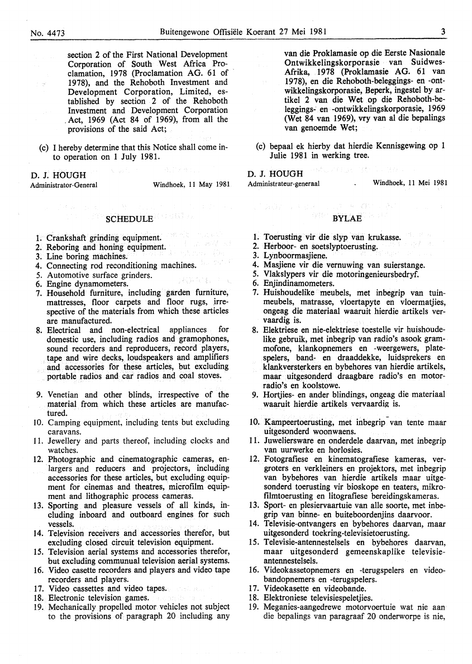section 2 of the First National Development Corporation of South West Africa Proclamation, 1978 (Proclamation AG. 61 of 1978), and the Rehoboth Investment and Development Corporation, Limited, established by section 2 of the Rehoboth Investment and Development Corporation . Act, 1969 (Act 84 of 1969), from all the provisions of the said Act;

(c) I hereby determine that this Notice shall come into operation on 1 July 1981.

#### D. J. HOUGH

Administrator-General

Windhoek, 11 May 1981

그만의 책처를 보여

# SCHEDULE<sup>N</sup>OR SECTION

- 
- 1. Crankshaft grinding equipment.<br>
2. Reboring and honing equipment.<br>
3. Line boring machines. 2. Reboring and honing equipment.
- 3. Line boring machines.
- 4. Connecting rod reconditioning machines.
- 5. Automotive surface grinders.
- 6. Engine dynamometers.
- 7. Household furniture, including garden furniture, mattresses, floor carpets and floor rugs, irrespective of the materials from which these articles are manufactured.
- 8. Electrical and non-electrical appliances for domestic use, including radios and gramophones, sound recorders and reproducers, record players, tape and wire decks, loudspeakers and amplifiers and accessories for these articles, but excluding portable radios and car radios and coal stoves.
- 9. Venetian and other blinds, irrespective of the material from which these articles are manufactured.
- IO. Camping equipment, including tents but excluding caravans.
- 11. Jewellery and parts thereof, including clocks and watches.
- 12. Photographic and cinematographic cameras, en largers and reducers and projectors, including accessories for these articles, but excluding equipment for cinemas and theatres, microfilm equipment and lithographic process cameras.
- 13. Sporting and pleasure vessels of all kinds, including inboard and outboard engines for such vessels.
- 14. Television receivers and accessories therefor, but excluding closed circuit television equipment.
- 15. Television aerial systems and accessories therefor, but excluding communual television aerial systems.
- 16. Video casette recorders and players and video tape recorders and players.
- 17. Video cassettes and video tapes.
- 18. Electronic television games.
- 19. Mechanically propelled motor vehicles not subject to the provisions of paragraph 20 including any

van die Proklamasie op die Eerste Nasionale Ontwikkelingskorporasie van Suidwes-Afrika, 1978 (Proklamasie AG. 61 van 1978), en die Rehoboth-beleggings- en -ontwikkelingskorporasie, Beperk, ingestel by artikel 2 van die Wet op die Rehoboth-beleggings- en -ontwikkelingskorporasie, 1969 (Wet 84 van 1969), vry van al die bepalings van genoemde Wet;

Windhoek, 11 Mei 1981

(c) bepaal ek hierby dat hierdie Kennisgewing op 1 Julie 1981 in werking tree.

> 网络运动的运动的转动员运动员  $\ddot{\phantom{a}}$

> > ○ 2000 × 2000 × 2000

#### D. J. HOUGH

Administrateur-generaal

# **BYLAE**

- 1. Toerusting vir die slyp van krukasse.
- 2. Herboor- en soetslyptoerusting.
- 3. Lynboormasjiene.
- 4. Masjiene vir die vernuwing van suierstange.
- 5. Vlakslypers vir die motoringenieursbedryf.
- 6. Enjindinamometers.
- 7. Huishoudelike meubels, met inbegrip van tuinmeubels, matrasse, vloertapyte en vloermatjies, ongeag die materiaal waaruit hierdie artikels vervaardig is.
- 8. Elektriese en nie-elektriese toestelle vir huishoudelike gebruik, met inbegrip van radio's asook grammofone, klankopnemers en -weergewers, platespelers, band- en draaddekke, luidsprekers en klankversterkers en bybehores van hierdie artikels, maar uitgesonderd draagbare radio's en motorradio's en koolstowe.
- 9. Hortjies- en ander blindings, ongeag die materiaal waaruit hierdie artikels vervaardig is.
- 10. Kampeertoerusting, met inbegrip van tente maar uitgesonderd woonwaens.
- 11. Juweliersware en onderdele daarvan, met inbegrip van uurwerke en horlosies.
- 12. Fotografiese en kinematografiese kameras, vergroters en verkleiners en projektors, met inbegrip van bybehores van hierdie artikels maar uitgesonderd toerusting vir bioskope en teaters, mikrofilmtoerusting en litografiese bereidingskameras.
- 13. Sport- en plesiervaartuie van alle soorte, met inbegrip van binne- en buiteboordenjins daarvoor.
- 14. Televisie-ontvangers en bybehores daarvan, maar uitgesonderd toekring -televisietoerusting.
- 15. Televisie-antennestelsels en bybehores daarvan, maar uitgesonderd gemeenskaplike televisieantennestelsels.
- 16. Videokassetopnemers en -terugspelers en videobandopnemers en -terugspelers.
- 17. Videokasette en videobande.
- 18. Elektroniese televisiespeletjies.
- 19. Meganies-aangedrewe motorvoertuie wat nie aan die bepalings van paragraaf 20 onderworpe is nie,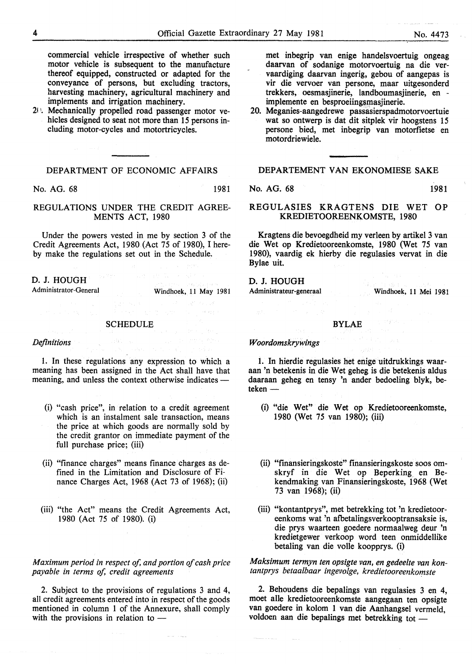commercial vehicle irrespective of whether such motor vehicle is subsequent to the manufacture thereof equipped, constructed or adapted for the conveyance of persons, but excluding tractors, harvesting machinery, agricultural machinery and implements and irrigation machinery.

2f <sup>1</sup> • Mechanically propelled road passenger motor vehicles designed to seat not more than 15 persons including motor-cycles and motortricycles.

DEPARTMENT OF ECONOMIC AFFAIRS

No. AG. 68 1981

## REGULATIONS UNDER THE CREDIT AGREE-MENTS ACT, 1980

Under the powers vested in me by section 3 of the Credit Agreements Act, 1980 (Act 75 of 1980), I hereby make the regulations set out in the Schedule.

D. J. HOUGH

Administrator-General

Windhoek, 11 May 1981

 $\sim$  km s  $\pm$  k.

#### **SCHEDULE**

*Definitions* 

1. In these regulations any expression to which a meaning has been assigned in the Act shall have that meaning, and unless the context otherwise indicates -

- (i) "cash price", in relation to a credit agreement which is an instalment sale transaction, means the price at which goods are normally sold by the credit grantor on immediate payment of the full purchase price; (iii)
- (ii) "finance charges" means finance charges as defined in the Limitation and Disclosure of Finance Charges Act, 1968 (Act 73 of 1968); (ii)
- (iii) "the Act" means the Credit Agreements Act, 1980 (Act 75 of 1980). (i)

## *Maximum period in respect of, and portion of cash price payable in terms of, credit agreements*

2. Subject to the provisions of regulations 3 and 4, all credit agreements entered into in respect of the goods mentioned in column 1 of the Annexure, shall comply with the provisions in relation to  $-$ 

met inbegrip van enige handelsvoertuig ongeag daarvan of sodanige motorvoertuig na die vervaardiging daarvan ingerig, gebou of aangepas is vir die vervoer van persone, maar uitgesonderd trekkers, oesmasjinerie, landboumasjinerie, en implemente en besproeiingsmasjinerie.

20. Meganies-aangedrewe passasierspadmotorvoertuie wat so ontwerp is dat dit sitplek vir hoogstens 15 persone bied, met inbegrip van motorfietse en motordriewiele.

DEPARTEMENT VAN EKONOMIESE SAKE

No. AG. 68 1981

#### REGULASIES KRAGTENS DIE WET OP KREDIETOOREENKOMSTE, 1980

Kragtens die bevoegdheid my verleen by artikel 3 van die Wet op Kredietooreenkomste, 1980 (Wet 75 van 1980), vaardig ek hierby die regulasies vervat in die Bylae uit.

D. J. HOUGH Administrateur-generaal

Windhoek, 11 Mei 1981

# BYLAE **BYLAE**

#### *Woordomskrywings*

1. In hierdie regulasies het enige uitdrukkings waaraan 'n betekenis in die Wet geheg is die betekenis aldus daaraan geheg en tensy 'n ander bedoeling blyk, beteken-

- (i) "die Wet" die Wet op Kredietooreenkomste, 1980 (Wet 75 van 1980); (iii)
- (ii) "finansieringskoste'' fmansieringskoste soos omskryf in die Wet op Beperking en Bekendmaking van Finansieringskoste, 1968 (Wet 73 van 1968); (ii)
- (iii) "kontantprys", met betrekking tot 'n kredietooreenkoms wat 'n afbetalingsverkooptransaksie is, die prys waarteen goedere normaalweg deur 'n kredietgewer verkoop word teen onmiddellike betaling van die voile koopprys. (i)

## *Maksimum termyn ten opsigte van, en gedeelte van kontantprys betaalbaar ingevolge, kredietooreenkomste*

2. Behoudens die bepalings van regulasies 3 en 4, moet alle kredietooreenkomste aangegaan ten opsigte van goedere in kolom 1 van die Aanhangsel vermeld, voldoen aan die bepalings met betrekking tot -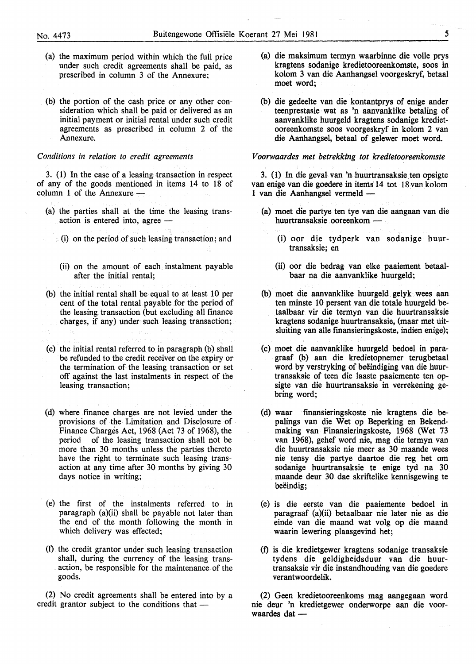- (a) the maximum period within which the full price under such credit agreements shall be paid, as prescribed in column 3 of the Annexure;
- (b) the portion of the cash price or any other consideration which shall be paid or delivered as an initial payment or initial rental under such credit agreements as prescribed in column 2 of the Annexure.

#### *Conditions in relation to credit agreements*

3. (1) In the case of a leasing transaction in respect of any of the goods mentioned in items 14 to 18 of  $column 1 of the Annexture -$ 

- (a) the parties shall at the time the leasing trans $action is entered into, agree -$ 
	- (i) on the period of such leasing transaction; and
	- (ii) on the amount of each instalment payable after the initial rental;
- (b) the initial rental shall be equal to at least 10 per cent of the total rental payable for the period of the leasing transaction (but excluding all finance charges, if any) under such leasing transaction;
- (c) the initial rental referred to in paragraph (b) shall be refunded to the credit receiver on the expiry or the termination of the leasing transaction or set off against the last instalments in respect of the leasing transaction;
- (d) where finance charges are not levied under the provisions of the Limitation and Disclosure of Finance Charges Act, 1968 (Act 73 of 1968), the period of the leasing transaction shall not be more than 30 months unless the parties thereto have the right to terminate such leasing transaction at any time after 30 months by giving 30 days notice in writing;
- (e) the first of the instalments referred to in paragraph (a)(ii) shall be payable not later than the end of the month following the month in which delivery was effected;
- (f) the credit grantor under such leasing transaction shall, during the currency of the leasing transaction, be responsible for the maintenance of the goods.

(2) No credit agreements shall be entered into by a credit grantor subject to the conditions that  $-$ 

- (a) die maksimum termyn waarbinne die volle prys kragtens sodanige kredietooreenkomste, soos in kolom 3 van die Aanhangsel voorgeskryf, betaal moet word;
- (b) die gedeelte van die kontantprys of enige ander teenprestasie wat as 'n aanvanklike betaling of aanvanklike huurgeld kragtens sodanige kredietooreenkomste soos voorgeskryf in kolom 2 van die Aanhangsel, betaal of gelewer moet word.

#### *Voorwaardes met betrekking tot kredietooreenkomste*

3. (1) In die geval van 'n huurtransaksie.ten opsigte van enige van die goedere in items 14 tot 18 van kolom 1 van die Aanhangsel vermeld -

- (a) moet die partye ten tye van die aangaan van die huurtransaksie ooreenkom -
	- (i) oor die tydperk van sodanige huurtransaksie; en
	- (ii) oor die bedrag van elke paaiement betaalbaar na die aanvanklike huurgeld;
- (b) moet die aanvanklike huurgeld gelyk wees aan ten minste 10 persent van die totale huurgeld betaalbaar vir die termyn van die huurtransaksie kragtens sodanige huurtransaksie, (maar met uitsluiting van alle fmansieringskoste, indien enige);
- (c) moet die aanvanklike huurgeld bedoel in paragraaf (b) aan die kredietopnemer terugbetaal word by verstryking of beëindiging van die huurtransaksie of teen die laaste paaiemente ten opsigte van die huurtransaksie in verrekening gebring word;
- (d) waar finansieringskoste nie kragtens die bepalings van die Wet op Beperking en Bekendmaking van Finansieringskoste, 1968 (Wet 73 van 1968), gehef word nie, mag die termyn van die huurtransaksie nie meer as 30 maande wees nie tensy die partye daartoe die reg het om sodanige huurtransaksie te enige tyd na 30 maande deur 30 dae skriftelike kennisgewing te beëindig;
- (e) is die eerste van die paaiemente bedoel in paragraaf (a)(ii) betaalbaar nie later nie as die einde van die maand wat volg op die maand waarin lewering plaasgevind het;
- (f) is die kredietgewer kragtens sodanige transaksie tydens die geldigheidsduur van die huurtransaksie vir die instandhouding van die goedere verantwoordelik.

(2) Geen kredietooreenkoms mag aangegaan word nie deur 'n kredietgewer onderworpe aan die voorwaardes dat -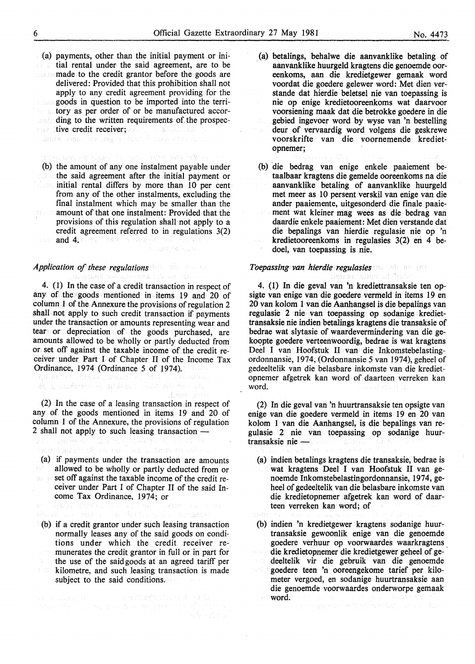(a) payments, other than the initial payment or initial rental under the said agreement, are to be **made to the credit grantor before the goods are** delivered: Provided that this prohibition shall not apply to any credit agreement providing for the goods in question to be imported into the territory as per order of or be manufactured accor- $\langle \cdot \rangle$  ). ding to the written requirements of the prospec-<br>tive credit receiver: tive credit receiver; with the seate<br>Show independence in Intel and an

(b) the amount of any one instalment payable under the said agreement after the initial payment or initial rental differs by more than 10 per cent from any of the other instalments, excluding the final instalment which may be smaller than the amount of that one instalment: Provided that the provisions of this regulation shall not apply to a credit agreement referred to in regulations 3(2)

and 4. Section 1987 and Microsoft in carellaucu

## *Application of these regulations*

4. (1) In the case of a credit transaction in respect of any of the goods mentioned in items 19 and 20 of column  $\pm$  of the Annexure the provisions of regulation 2 shall not apply to such credit transaction if payments under the transaction or amounts representing wear and tear or depreciation of the goods purchased, are amounts allowed to be wholly or partly deducted from or set off against the taxable income of the credit receiver under Part I of Chapter II of the Income Tax Ordinance, 1974 (Ordinance *5* of 1974).

.<br>196 an Dréann a bha an an an an an an an an a de montan

(2) In the case of a leasing transaction in respect of any of the goods mentioned in items 19 and 20 of column 1 of the Annexure, the provisions of regulation 2 shall not apply to such leasing transaction -

 $\frac{\partial}{\partial t} \left( \mathcal{E} \right)_{\mathcal{L}_{\mathcal{L}_{\mathcal{L}_{\mathcal{L}_{\mathcal{L}}}}}} \left( \mathcal{E}_{\mathcal{L}_{\mathcal{L}}} \left( \mathcal{E}_{\mathcal{L}} \right) \right) = \frac{1}{2} \mathcal{E} \left( \mathcal{E}_{\mathcal{L}_{\mathcal{L}}} \left( \mathcal{E}_{\mathcal{L}} \right) \right)$ 

- (a) if payments under the transaction are amounts allowed to be wholly or partly deducted from or set off against the taxable income of the credit receiver under Part I of Chapter II of the said Income Tax Ordinance, 1974; or
- 
- (b) if a credit grantor under such leasing transaction normally leases any of the said goods on conditions under which the credit receiver remunerates the credit grantor in full or in part for the use of the said goods at an agreed tariff per kilometre, and such leasing transaction is made subject to the said conditions.
- (a) betalings, behalwe die aanvanklike betaling of aanvanklike huurgeld kragtens die genoemde ooreenkoms, aan die kredietgewer gemaak word voordat die goedere gelewer word: Met dien verstande dat hierdie beletsel nie van toepassing is nie op enige kredietooreenkoms wat daarvoor voorsiening maak dat die betrokke goedere in die gebied ingevoer word by wyse van 'n bestelling deur of vervaardig word volgens die geskrewe voorskrifte van die voornemende kredietopnemer;
- (b) die bedrag van enige enkele paaiement betaalbaar kragtens die gemelde ooreenkoms na die aanvanklike betaling of aanvanklike huurgeld met meer as 10 persent verskil van enige van die ander paaiemente, uitgesonderd die finale paaiement Wat kleiner mag wees as die bedrag van daardie enkele paaiement: Met dien verstande dat die bepalings van hierdie regulasie nie op 'n kredietooreenkoms in regulasies 3(2) en 4 bedoe!, van toepassing is nie.

# *Toepassing van hierdie regulasies*

4. (1) In die geval van 'n krediettransaksie ten opsigte van enige van die goedere vermeld in items 19 en 20 van kolom 1 van die Aanhangsel is die bepalings van regulasie 2 nie van toepassing op sodanige krediettransaksie nie indien betalings kragtens die transaksie of bedrae wat slytasie of waardevermindering van die gekoopte goedere verteenwoordig, bedrae is wat kragtens Deel I van Hoofstuk II van die Inkomstebelastingordonnansie, 1974, (Ordonnansie *5* van 1974), geheel of gedeeltelik van die belasbare inkomste van die kredietopnemer afgetrek kan word of daarteen verreken kan word.

(2) In die geval van 'n huurtransaksie ten opsigte van enige van die goedere vermeld in items 19 en 20 van kolom 1 van die Aanhangsel, is die bepalings van regulasie 2 nie van toepassing op sodanige huurtransaksie nie -

- (a) indien betalings kragtens die transaksie, bedrae is wat kragtens Deel I van Hoofstuk II van genoemde Inkomstebelastingordonnansie, 1974, geheel of gedeeltelik van die belasbare inkomste van die kredietopnemer afgetrek kan word of daarteen verreken kan word; of
- (b) indien 'n kredietgewer kragtens sodanige huurtransaksie gewoonlik enige van die genoemde goedere verhuur op voorwaardes waarkragtens die kredietopnemer die kredietgewer geheel of gedeeltelik vir die gebruik van die genoemde goedere teen 'n ooreengekome tarief per kilometer vergoed, en sodanige huurtransaksie aan die genoemde voorwaardes onderworpe gemaak word.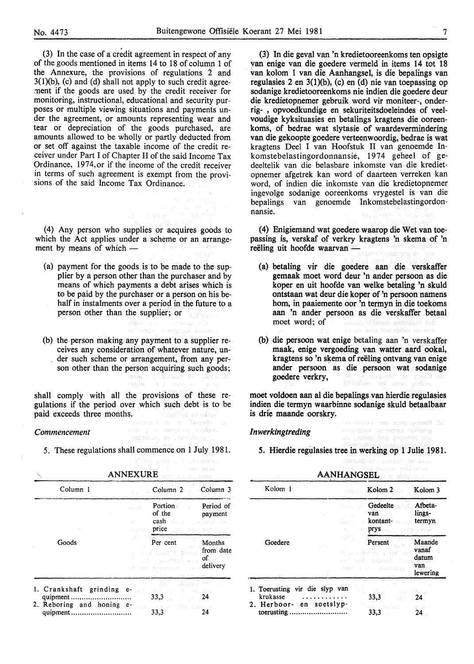(3) In the case of a credit agreement in respect of any of the goods mentioned in items 14 to 18 of column 1 of the Annexure, the provisions of regulations 2 and  $3(1)(b)$ , (c) and (d) shall not apply to such credit agreement if the goods are used by the credit receiver for monitoring, instructional, educational and security purposes or multiple viewing situations and payments under the agreement, or amounts representing wear and tear or depreciation of the goods purchased, are amounts allowed to be wholly or partly deducted from or set off against the taxable income of the credit receiver under Part I of Chapter II of the said Income Tax Ordinance, 1974, or if the income of the credit receiver in terms of such agreement is exempt from the provisions of the said Income Tax Ordinance.

(4) Any person who supplies or acquires goods to which the Act applies under a scheme or an arrangement by means of which  $-$ 

SW Standard

- (a) payment for the goods is to be made to the supplier by a person other than the purchaser and by means of which payments a debt arises which is to be paid by the purchaser or a person on his behalf in instalments over a period in the future to a person other than the supplier; or
- (b) the person making any payment to a supplier receives any consideration of whatever nature, under such scheme or arrangement, from any person other than the person acquiring such goods;<br> $\frac{1}{2}$ <br> $\frac{1}{2}$

kas Se

shall comply with all the provisions of these regulations if the period over which such debt is to be paid exceeds three months. <u>, headvad on vin</u>e

#### *Commencement*

androg at a democratic confere  $\mathcal{P} \boxtimes \mathcal{E} \mathcal{E}_{\mathcal{P}} \cong \mathcal{E}_{\mathcal{P}} \times \mathcal{E}_{\mathcal{P}}$ 

#### 5. These regulations shall commence on 1 July 1981.

|                                                                             | Corris como o concertario de<br>4월 - 기능 - 1<br><b>ANNEXURE</b><br><b>Service Controllers</b>                                                                                                                                                                                                                                             | 1871 - 539 25       |
|-----------------------------------------------------------------------------|------------------------------------------------------------------------------------------------------------------------------------------------------------------------------------------------------------------------------------------------------------------------------------------------------------------------------------------|---------------------|
| Column 1                                                                    | Column 2 Column 3                                                                                                                                                                                                                                                                                                                        | control official    |
|                                                                             | <b>Example 1</b> Portion Period of<br>of the payment<br><b>cash</b> the contract of the contract of the contract of the contract of the contract of the contract of the contract of the contract of the contract of the contract of the contract of the contract of the contract of the con<br>and <b>price</b> and the price of the set | indere gettig t     |
| Goods                                                                       | and the state of the state of the state of<br>195 J<br>Per cent<br>第1922年の1228年まで開発<br>a will be a second conditions<br>and a start of the contract of the delivery<br>医腹膜炎 医水杨酸 化乙酰基乙酰胺 医心包的                                                                                                                                            | Months<br>from date |
| 1. Crankshaft grinding<br>quipment<br>2. Reboring and honing e-<br>quipment | alfabet constants and<br>e-<br>The process of the<br>33,3<br>いんげいたい 特に せいしょ<br>33,3                                                                                                                                                                                                                                                      | 24                  |

(3) In die geval van.'n kredietooreenkoms ten opsigte van enige van die goedere vermeld in items 14 tot 18 van kolom 1 van die Aanhangsel, is die bepalings van regulasies 2 en 3(1Xb), (c) en (d) nie van toepassing op sodanige kredietooreenkoms nie indien die goedere deur die kredietopnemer gebruik word vir moniteer-, onderrig- , opvoedkundige en sekuriteitsdoeleindes of veelvoudige kyksituasies en betalings kragtens die ooreenkoms, of bedrae wat slytasie of waardevermindering van die gekoopte goedere verteenwoordig, bedrae is wat kragtens Deel I van Hoofstuk II van genoemde lnkomstebelastingordonnansie, 1974 geheel of gedeeltelik van die belasbare inkomste van die kredietopnemer afgetrek kan word of daarteen verreken kan word, of indien die inkomste van die kredietopnemer ingevolge sodanige ooreenkoms vrygestel is van die bepalings van genoemde Inkomstebelastingordonnansie.

(4) Enigiemand wat goedere waarop die Wet van toepassing is, verskaf of verkry kragtens 'n skema of 'n reëling uit hoofde waarvan - and a series of the series of the series of the series of the series of the series of the series of the series of the series of the series of the series of the series of the series of the serie

- (a) betaling vir die goedere aan die verskaffer gemaak moet word deur 'n ander persoon as die koper en uit hoofde van welke betaling 'n skuld ontstaan wat deur die koper of 'n persoon namens hom, in paaiemente oor 'n termyn in die toekoms aan 'n ander persoon as die verskaffer betaal moet word; of s selas eldanon godado o sod least has sofber and be
- (b) die persoon wat enige betaling aan 'n verskaffer maak, enige vergoeding van watter aard ookal, kragtens so 'n skema of reëling ontvang van enige ander persoon as die persoon wat sodanige goedere verkry,

moet voldoen aan al die bepalings van hierdie regulasies indien die termyn waarbinne sodanige skuld betaalbaar is drie maande oorskry.

#### *Inwerkingtreding*

L. Finning species and someoned - Pitties letwerso bidgesg ay umpad has ersabet bu

*5.* Hierdie regulasies tree in werking op 1 Julie 1981.

|         | Gedeelte Afbeta-<br>van<br>with the same<br>The <b>prys</b> issue attendances          | lings-<br>kontant- termyn       |
|---------|----------------------------------------------------------------------------------------|---------------------------------|
| Goedere | Persent<br>for a consention of a family concern<br>ek ad skeeps cone<br>mis ca manamar | Maande<br>vanaf<br>datum<br>van |
|         |                                                                                        | lewering                        |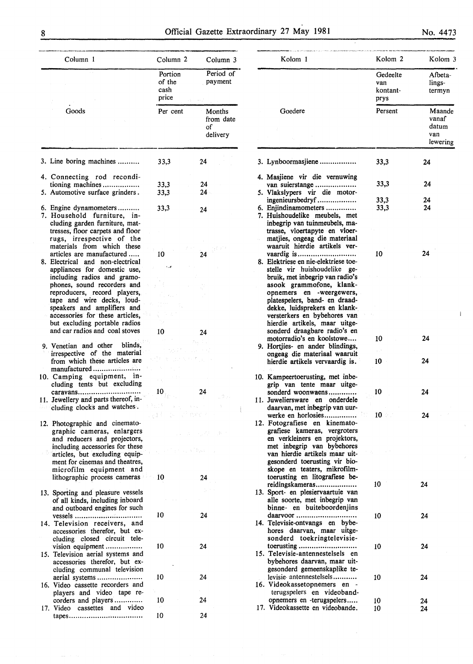$\bar{\mathbb{F}}$ 

| Column 1                                                                                                                    | Column 2                           | Column <sub>3</sub>                   |
|-----------------------------------------------------------------------------------------------------------------------------|------------------------------------|---------------------------------------|
|                                                                                                                             | Portion<br>of the<br>cash<br>price | Period of<br>payment                  |
| Goods                                                                                                                       | Per cent                           | Months<br>from date<br>of<br>delivery |
| 3. Line boring machines                                                                                                     | 33,3                               | 24                                    |
| 4. Connecting rod recondi-                                                                                                  |                                    |                                       |
| tioning machines<br>5. Automotive surface grinders.                                                                         | 33,3<br>33,3                       | 24<br>$24-$                           |
| 6. Engine dynamometers<br>7. Household furniture, in-<br>cluding garden furniture, mat-<br>tresses, floor carpets and floor | 33,3                               | 24                                    |
| rugs, irrespective of the<br>materials from which these                                                                     |                                    |                                       |
| articles are manufactured<br>8. Electrical and non-electrical<br>appliances for domestic use,                               | 10                                 | 24                                    |
| including radios and gramo-                                                                                                 |                                    |                                       |
| phones, sound recorders and<br>reproducers, record players,                                                                 |                                    |                                       |
| tape and wire decks, loud-                                                                                                  |                                    |                                       |
| speakers and amplifiers and<br>accessories for these articles,<br>but excluding portable radios                             |                                    |                                       |
| and car radios and coal stoves                                                                                              | 10                                 | 24                                    |
| 9. Venetian and other<br>blinds,                                                                                            |                                    | March a                               |
| irrespective of the material<br>from which these articles are<br>manufactured                                               |                                    |                                       |
| 10. Camping equipment, in-<br>cluding tents but excluding                                                                   |                                    |                                       |
| caravans<br>11. Jewellery and parts thereof, in-<br>cluding clocks and watches.                                             | 10<br>t Baltimore, mess            | 24                                    |
|                                                                                                                             | gal a Sarre                        |                                       |
| 12. Photographic and cinemato-<br>graphic cameras, enlargers<br>and reducers and projectors,                                |                                    | - 中国の一度の                              |
| including accessories for these<br>articles, but excluding equip-<br>ment for cinemas and theatres,                         | e u svilingua                      |                                       |
| microfilm equipment and<br>lithographic process cameras 10                                                                  |                                    | 24                                    |
| 13. Sporting and pleasure vessels<br>of all kinds, including inboard<br>and outboard engines for such                       |                                    |                                       |
| 14. Television receivers, and<br>accessories therefor, but ex-                                                              | 10                                 | 24                                    |
| cluding closed circuit tele-<br>vision equipment<br>15. Television aerial systems and<br>accessories therefor, but ex-      | 10                                 | 24                                    |
| cluding communal television<br>aerial systems<br>16. Video cassette recorders and                                           | 10                                 | 24                                    |
| players and video tape re-<br>corders and players<br>17. Video cassettes and video                                          | 10<br>$\sim$                       | 24                                    |
|                                                                                                                             | 10                                 | 24                                    |
|                                                                                                                             |                                    |                                       |

| Kolom 1                                                        | Kolom 2              | Kolom 3         |
|----------------------------------------------------------------|----------------------|-----------------|
|                                                                | Gedeelte             | Afbeta-         |
|                                                                | van                  | lings-          |
|                                                                | kontant-<br>prys     | termyn          |
| Goedere                                                        | Persent              | Maande          |
|                                                                |                      | vanaf           |
|                                                                |                      | datum           |
|                                                                |                      | van<br>lewering |
|                                                                |                      |                 |
| 3. Lynboormasjiene                                             | 33,3                 | 24              |
| 4. Masjiene vir die vernuwing                                  | 33,3                 | 24              |
| van suierstange<br>5. Vlakslypers vir die motor-               |                      |                 |
| ingenieursbedryf                                               | 33,3                 | 24              |
| 6. Enjindinamometers                                           | 33,3                 | 24              |
| 7. Huishoudelike meubels, met                                  |                      |                 |
| inbegrip van tuinmeubels, ma-                                  |                      |                 |
| trasse, vloertapyte en vloer-<br>matjies, ongeag die materiaal |                      |                 |
| waaruit hierdie artikels ver-                                  |                      |                 |
| vaardig is                                                     | 10                   | 24              |
| 8. Elektriese en nie-elektriese toe-                           |                      |                 |
| stelle vir huishoudelike ge-                                   |                      |                 |
| bruik, met inbegrip van radio's                                |                      |                 |
| asook grammofone, klank-<br>opnemers en -weergewers,           |                      |                 |
| platespelers, band- en draad-                                  |                      |                 |
| dekke, luidsprekers en klank-                                  |                      |                 |
| versterkers en bybehores van                                   |                      |                 |
| hierdie artikels, maar uitge-                                  |                      |                 |
| sonderd draagbare radio's en<br>motorradio's en koolstowe      | 10                   | 24              |
| 9. Hortjies- en ander blindings,                               |                      |                 |
| ongeag die materiaal waaruit                                   |                      |                 |
| hierdie artikels vervaardig is.                                | 10                   | 24              |
| 10. Kampeertoerusting, met inbe-                               |                      |                 |
| grip van tente maar uitge-                                     |                      |                 |
| sonderd woonwaens                                              | 10                   | 24              |
| 11. Juweliersware en onderdele                                 |                      |                 |
| daarvan, met inbegrip van uur-                                 |                      |                 |
| werke en horlosies                                             | $\sim$ 10 $\sigma$ . | 24              |
| 12. Fotografiese en kinemato-<br>grafiese kameras, vergroters  |                      |                 |
| en verkleiners en projektors,                                  |                      |                 |
| met inbegrip van bybehores                                     |                      |                 |
| van hierdie artikels maar uit-                                 | ,                    |                 |
| gesonderd toerusting vir bio-                                  |                      |                 |
| skope en teaters, mikrofilm-                                   |                      |                 |
| toerusting en litografiese be-<br>reidingskameras              | 10                   | 24              |
| 13. Sport- en plesiervaartuie van                              |                      |                 |
| alle soorte, met inbegrip van                                  |                      |                 |
| binne- en buiteboordenjins                                     |                      |                 |
| daarvoor                                                       | 10                   | 24              |
| 14. Televisie-ontvangs en bybe-                                |                      |                 |
| hores daarvan, maar uitge-<br>sonderd toekringtelevisie-       |                      |                 |
| toerusting                                                     | 10                   | 24              |
| 15. Televisie-antennestelsels en                               |                      |                 |
| bybehores daarvan, maar uit-                                   |                      |                 |
| gesonderd gemeenskaplike te-                                   |                      |                 |
| levisie antennestelsels                                        | 10                   | 24              |
| 16. Videokassetopnemers en -                                   |                      |                 |
| terugspelers en videoband-                                     |                      |                 |
| opnemers en -terugspelers<br>17. Videokassette en videobande.  | 10<br>10             | 24<br>24        |
|                                                                |                      |                 |